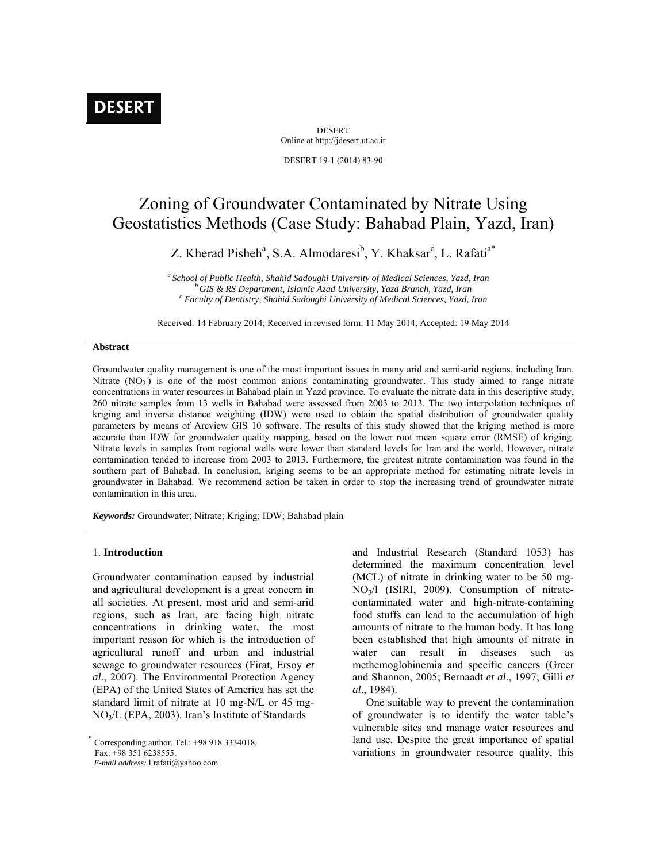# **DESERT**

DESERT Online at http://jdesert.ut.ac.ir DESERT 19-1 (2014) 83-90

Zoning of Groundwater Contaminated by Nitrate Using Geostatistics Methods (Case Study: Bahabad Plain, Yazd, Iran)

Z. Kherad Pisheh<sup>a</sup>, S.A. Almodaresi<sup>b</sup>, Y. Khaksar<sup>c</sup>, L. Rafati<sup>a\*</sup>

*a School of Public Health, Shahid Sadoughi University of Medical Sciences, Yazd, Iran b GIS & RS Department, Islamic Azad University, Yazd Branch, Yazd, Iran c Faculty of Dentistry, Shahid Sadoughi University of Medical Sciences, Yazd, Iran* 

Received: 14 February 2014; Received in revised form: 11 May 2014; Accepted: 19 May 2014

#### **Abstract**

Groundwater quality management is one of the most important issues in many arid and semi-arid regions, including Iran. Nitrate (NO<sub>3</sub>) is one of the most common anions contaminating groundwater. This study aimed to range nitrate concentrations in water resources in Bahabad plain in Yazd province. To evaluate the nitrate data in this descriptive study, 260 nitrate samples from 13 wells in Bahabad were assessed from 2003 to 2013. The two interpolation techniques of kriging and inverse distance weighting (IDW) were used to obtain the spatial distribution of groundwater quality parameters by means of Arcview GIS 10 software. The results of this study showed that the kriging method is more accurate than IDW for groundwater quality mapping, based on the lower root mean square error (RMSE) of kriging. Nitrate levels in samples from regional wells were lower than standard levels for Iran and the world. However, nitrate contamination tended to increase from 2003 to 2013. Furthermore, the greatest nitrate contamination was found in the southern part of Bahabad. In conclusion, kriging seems to be an appropriate method for estimating nitrate levels in groundwater in Bahabad. We recommend action be taken in order to stop the increasing trend of groundwater nitrate contamination in this area.

*Keywords:* Groundwater; Nitrate; Kriging; IDW; Bahabad plain

## 1. **Introduction**

Groundwater contamination caused by industrial and agricultural development is a great concern in all societies. At present, most arid and semi-arid regions, such as Iran, are facing high nitrate concentrations in drinking water, the most important reason for which is the introduction of agricultural runoff and urban and industrial sewage to groundwater resources (Firat, Ersoy *et al*., 2007). The Environmental Protection Agency (EPA) of the United States of America has set the standard limit of nitrate at 10 mg-N/L or 45 mg-NO3/L (EPA, 2003). Iran's Institute of Standards

 *E-mail address:* l.rafati@yahoo.com

and Industrial Research (Standard 1053) has determined the maximum concentration level (MCL) of nitrate in drinking water to be 50 mg-NO3/l (ISIRI, 2009). Consumption of nitratecontaminated water and high-nitrate-containing food stuffs can lead to the accumulation of high amounts of nitrate to the human body. It has long been established that high amounts of nitrate in water can result in diseases such as methemoglobinemia and specific cancers (Greer and Shannon, 2005; Bernaadt *et al*., 1997; Gilli *et al*., 1984).

 One suitable way to prevent the contamination of groundwater is to identify the water table's vulnerable sites and manage water resources and land use. Despite the great importance of spatial variations in groundwater resource quality, this

 Corresponding author. Tel.: +98 918 3334018, Fax: +98 351 6238555.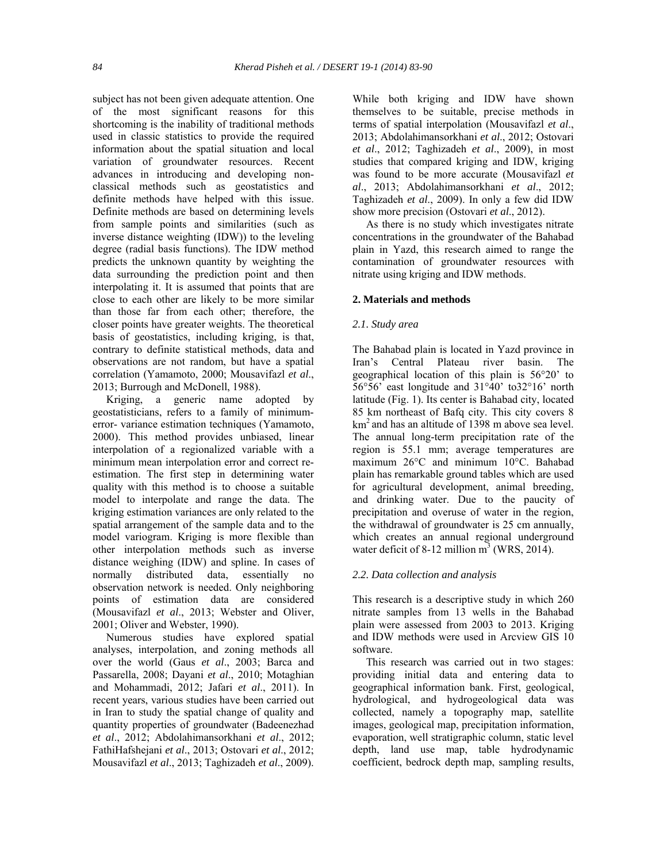subject has not been given adequate attention. One of the most significant reasons for this shortcoming is the inability of traditional methods used in classic statistics to provide the required information about the spatial situation and local variation of groundwater resources. Recent advances in introducing and developing nonclassical methods such as geostatistics and definite methods have helped with this issue. Definite methods are based on determining levels from sample points and similarities (such as inverse distance weighting (IDW)) to the leveling degree (radial basis functions). The IDW method predicts the unknown quantity by weighting the data surrounding the prediction point and then interpolating it. It is assumed that points that are close to each other are likely to be more similar than those far from each other; therefore, the closer points have greater weights. The theoretical basis of geostatistics, including kriging, is that, contrary to definite statistical methods, data and observations are not random, but have a spatial correlation (Yamamoto, 2000; Mousavifazl *et al*., 2013; Burrough and McDonell, 1988).

 Kriging, a generic name adopted by geostatisticians, refers to a family of minimumerror- variance estimation techniques (Yamamoto, 2000). This method provides unbiased, linear interpolation of a regionalized variable with a minimum mean interpolation error and correct reestimation. The first step in determining water quality with this method is to choose a suitable model to interpolate and range the data. The kriging estimation variances are only related to the spatial arrangement of the sample data and to the model variogram. Kriging is more flexible than other interpolation methods such as inverse distance weighing (IDW) and spline. In cases of normally distributed data, essentially no observation network is needed. Only neighboring points of estimation data are considered (Mousavifazl *et al*., 2013; Webster and Oliver, 2001; Oliver and Webster, 1990).

 Numerous studies have explored spatial analyses, interpolation, and zoning methods all over the world (Gaus *et al*., 2003; Barca and Passarella, 2008; Dayani *et al*., 2010; Motaghian and Mohammadi, 2012; Jafari *et al*., 2011). In recent years, various studies have been carried out in Iran to study the spatial change of quality and quantity properties of groundwater (Badeenezhad *et al*., 2012; Abdolahimansorkhani *et al*., 2012; FathiHafshejani *et al*., 2013; Ostovari *et al*., 2012; Mousavifazl *et al*., 2013; Taghizadeh *et al*., 2009).

While both kriging and IDW have shown themselves to be suitable, precise methods in terms of spatial interpolation (Mousavifazl *et al*., 2013; Abdolahimansorkhani *et al*., 2012; Ostovari *et al*., 2012; Taghizadeh *et al*., 2009), in most studies that compared kriging and IDW, kriging was found to be more accurate (Mousavifazl *et al*., 2013; Abdolahimansorkhani *et al*., 2012; Taghizadeh *et al*., 2009). In only a few did IDW show more precision (Ostovari *et al*., 2012).

 As there is no study which investigates nitrate concentrations in the groundwater of the Bahabad plain in Yazd, this research aimed to range the contamination of groundwater resources with nitrate using kriging and IDW methods.

## **2. Materials and methods**

## *2.1. Study area*

The Bahabad plain is located in Yazd province in Iran's Central Plateau river basin. The geographical location of this plain is 56°20' to 56°56' east longitude and 31°40' to32°16' north latitude (Fig. 1). Its center is Bahabad city, located 85 km northeast of Bafq city. This city covers 8 km<sup>2</sup> and has an altitude of 1398 m above sea level. The annual long-term precipitation rate of the region is 55.1 mm; average temperatures are maximum 26°C and minimum 10°C. Bahabad plain has remarkable ground tables which are used for agricultural development, animal breeding, and drinking water. Due to the paucity of precipitation and overuse of water in the region, the withdrawal of groundwater is 25 cm annually, which creates an annual regional underground water deficit of 8-12 million  $m^3$  (WRS, 2014).

### *2.2. Data collection and analysis*

This research is a descriptive study in which 260 nitrate samples from 13 wells in the Bahabad plain were assessed from 2003 to 2013. Kriging and IDW methods were used in Arcview GIS 10 software.

 This research was carried out in two stages: providing initial data and entering data to geographical information bank. First, geological, hydrological, and hydrogeological data was collected, namely a topography map, satellite images, geological map, precipitation information, evaporation, well stratigraphic column, static level depth, land use map, table hydrodynamic coefficient, bedrock depth map, sampling results,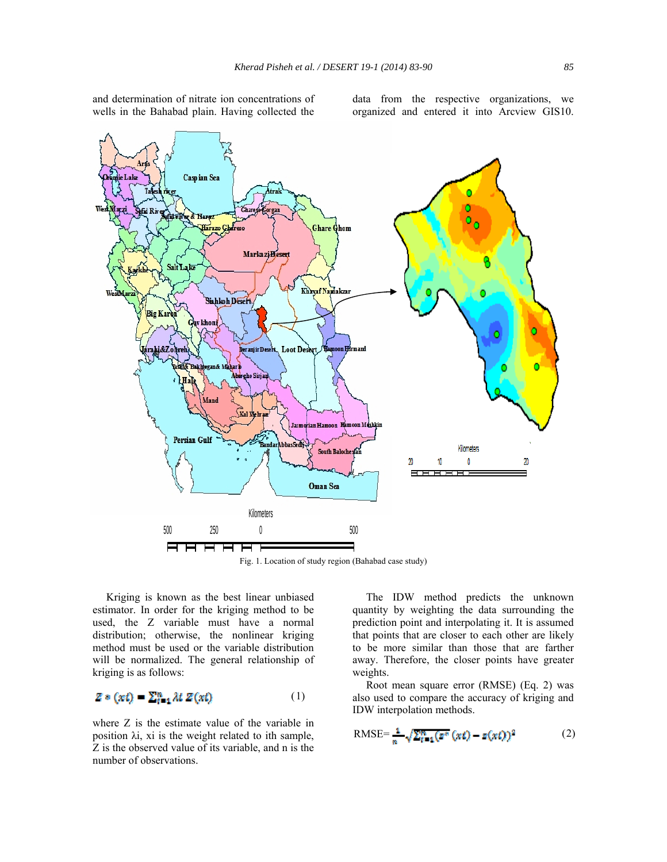and determination of nitrate ion concentrations of wells in the Bahabad plain. Having collected the

data from the respective organizations, we organized and entered it into Arcview GIS10.



Fig. 1. Location of study region (Bahabad case study)

 Kriging is known as the best linear unbiased estimator. In order for the kriging method to be used, the Z variable must have a normal distribution; otherwise, the nonlinear kriging method must be used or the variable distribution will be normalized. The general relationship of kriging is as follows:

$$
Z * (xt) = \sum_{t=1}^{n} \lambda t Z(xt) \tag{1}
$$

where Z is the estimate value of the variable in position λi, xi is the weight related to ith sample, Z is the observed value of its variable, and n is the number of observations.

 The IDW method predicts the unknown quantity by weighting the data surrounding the prediction point and interpolating it. It is assumed that points that are closer to each other are likely to be more similar than those that are farther away. Therefore, the closer points have greater weights.

 Root mean square error (RMSE) (Eq. 2) was also used to compare the accuracy of kriging and IDW interpolation methods.

$$
\text{RMSE} = \frac{1}{n} \sqrt{\sum_{\ell=1}^{n} (x^* (xt) - z (xt))^2}
$$
 (2)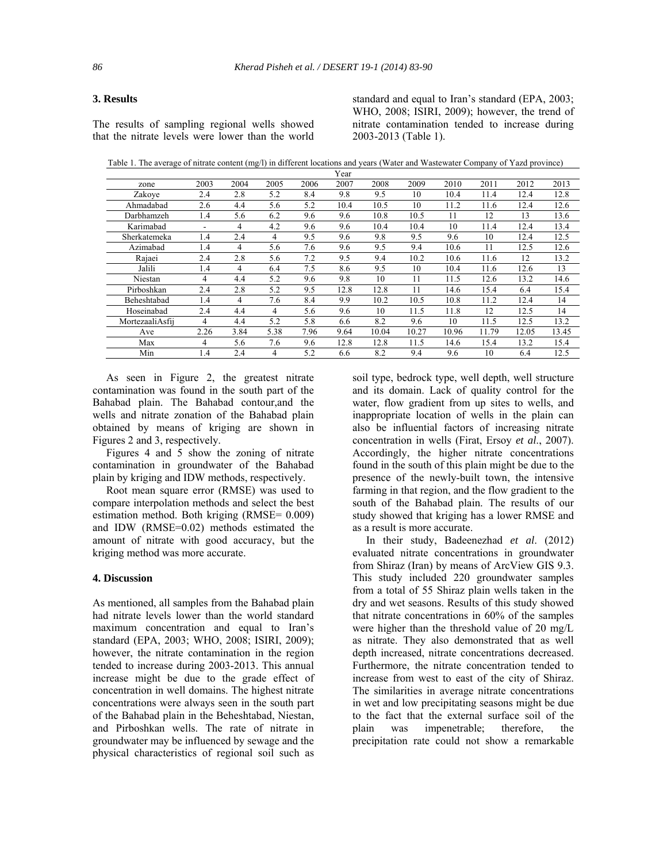## **3. Results**

The results of sampling regional wells showed that the nitrate levels were lower than the world standard and equal to Iran's standard (EPA, 2003; WHO, 2008; ISIRI, 2009); however, the trend of nitrate contamination tended to increase during 2003-2013 (Table 1).

Table 1. The average of nitrate content (mg/l) in different locations and years (Water and Wastewater Company of Yazd province)

|                 |      |      |                |      | Year |       |       |       |       |       |       |
|-----------------|------|------|----------------|------|------|-------|-------|-------|-------|-------|-------|
| zone            | 2003 | 2004 | 2005           | 2006 | 2007 | 2008  | 2009  | 2010  | 2011  | 2012  | 2013  |
| Zakove          | 2.4  | 2.8  | 5.2            | 8.4  | 9.8  | 9.5   | 10    | 10.4  | 11.4  | 12.4  | 12.8  |
| Ahmadabad       | 2.6  | 4.4  | 5.6            | 5.2  | 10.4 | 10.5  | 10    | 11.2  | 11.6  | 12.4  | 12.6  |
| Darbhamzeh      | 1.4  | 5.6  | 6.2            | 9.6  | 9.6  | 10.8  | 10.5  | 11    | 12    | 13    | 13.6  |
| Karimabad       |      | 4    | 4.2            | 9.6  | 9.6  | 10.4  | 10.4  | 10    | 11.4  | 12.4  | 13.4  |
| Sherkatemeka    | 1.4  | 2.4  | 4              | 9.5  | 9.6  | 9.8   | 9.5   | 9.6   | 10    | 12.4  | 12.5  |
| Azimabad        | 1.4  | 4    | 5.6            | 7.6  | 9.6  | 9.5   | 9.4   | 10.6  | 11    | 12.5  | 12.6  |
| Rajaei          | 2.4  | 2.8  | 5.6            | 7.2  | 9.5  | 9.4   | 10.2  | 10.6  | 11.6  | 12    | 13.2  |
| Jalili          | 1.4  | 4    | 6.4            | 7.5  | 8.6  | 9.5   | 10    | 10.4  | 11.6  | 12.6  | 13    |
| Niestan         | 4    | 4.4  | 5.2            | 9.6  | 9.8  | 10    | 11    | 11.5  | 12.6  | 13.2  | 14.6  |
| Pirboshkan      | 2.4  | 2.8  | 5.2            | 9.5  | 12.8 | 12.8  | 11    | 14.6  | 15.4  | 6.4   | 15.4  |
| Beheshtabad     | 1.4  | 4    | 7.6            | 8.4  | 9.9  | 10.2  | 10.5  | 10.8  | 11.2  | 12.4  | 14    |
| Hoseinabad      | 2.4  | 4.4  | $\overline{4}$ | 5.6  | 9.6  | 10    | 11.5  | 11.8  | 12    | 12.5  | 14    |
| MortezaaliAsfii | 4    | 4.4  | 5.2            | 5.8  | 6.6  | 8.2   | 9.6   | 10    | 11.5  | 12.5  | 13.2  |
| Ave             | 2.26 | 3.84 | 5.38           | 7.96 | 9.64 | 10.04 | 10.27 | 10.96 | 11.79 | 12.05 | 13.45 |
| Max             | 4    | 5.6  | 7.6            | 9.6  | 12.8 | 12.8  | 11.5  | 14.6  | 15.4  | 13.2  | 15.4  |
| Min             | 1.4  | 2.4  | 4              | 5.2  | 6.6  | 8.2   | 9.4   | 9.6   | 10    | 6.4   | 12.5  |

 As seen in Figure 2, the greatest nitrate contamination was found in the south part of the Bahabad plain. The Bahabad contour,and the wells and nitrate zonation of the Bahabad plain obtained by means of kriging are shown in Figures 2 and 3, respectively.

 Figures 4 and 5 show the zoning of nitrate contamination in groundwater of the Bahabad plain by kriging and IDW methods, respectively.

 Root mean square error (RMSE) was used to compare interpolation methods and select the best estimation method. Both kriging (RMSE= 0.009) and IDW (RMSE=0.02) methods estimated the amount of nitrate with good accuracy, but the kriging method was more accurate.

## **4. Discussion**

As mentioned, all samples from the Bahabad plain had nitrate levels lower than the world standard maximum concentration and equal to Iran's standard (EPA, 2003; WHO, 2008; ISIRI, 2009); however, the nitrate contamination in the region tended to increase during 2003-2013. This annual increase might be due to the grade effect of concentration in well domains. The highest nitrate concentrations were always seen in the south part of the Bahabad plain in the Beheshtabad, Niestan, and Pirboshkan wells. The rate of nitrate in groundwater may be influenced by sewage and the physical characteristics of regional soil such as

soil type, bedrock type, well depth, well structure and its domain. Lack of quality control for the water, flow gradient from up sites to wells, and inappropriate location of wells in the plain can also be influential factors of increasing nitrate concentration in wells (Firat, Ersoy *et al*., 2007). Accordingly, the higher nitrate concentrations found in the south of this plain might be due to the presence of the newly-built town, the intensive farming in that region, and the flow gradient to the south of the Bahabad plain. The results of our study showed that kriging has a lower RMSE and as a result is more accurate.

 In their study, Badeenezhad *et al*. (2012) evaluated nitrate concentrations in groundwater from Shiraz (Iran) by means of ArcView GIS 9.3. This study included 220 groundwater samples from a total of 55 Shiraz plain wells taken in the dry and wet seasons. Results of this study showed that nitrate concentrations in 60% of the samples were higher than the threshold value of 20 mg/L as nitrate. They also demonstrated that as well depth increased, nitrate concentrations decreased. Furthermore, the nitrate concentration tended to increase from west to east of the city of Shiraz. The similarities in average nitrate concentrations in wet and low precipitating seasons might be due to the fact that the external surface soil of the plain was impenetrable; therefore, the precipitation rate could not show a remarkable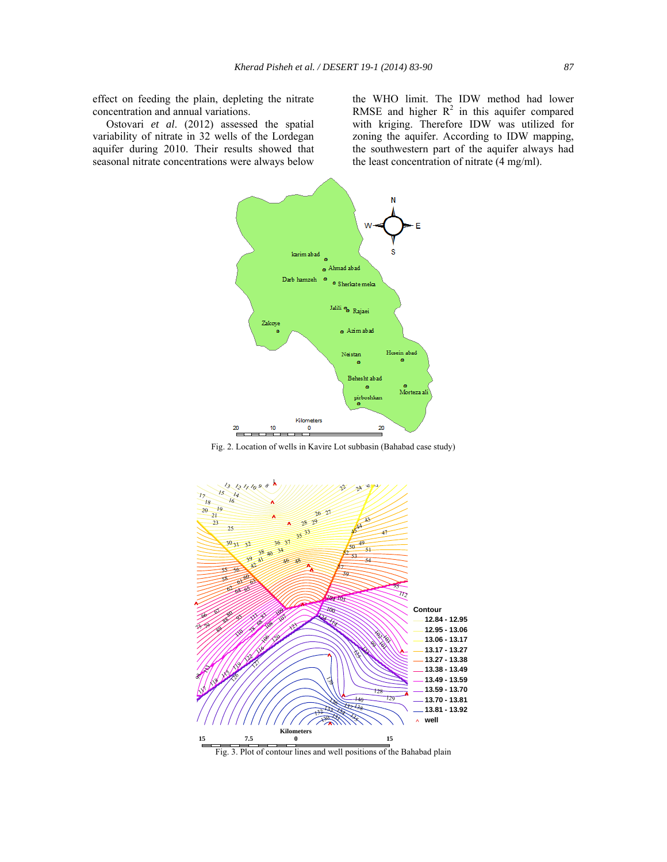effect on feeding the plain, depleting the nitrate concentration and annual variations.

 Ostovari *et al*. (2012) assessed the spatial variability of nitrate in 32 wells of the Lordegan aquifer during 2010. Their results showed that seasonal nitrate concentrations were always below the WHO limit. The IDW method had lower RMSE and higher  $R^2$  in this aquifer compared with kriging. Therefore IDW was utilized for zoning the aquifer. According to IDW mapping, the southwestern part of the aquifer always had the least concentration of nitrate (4 mg/ml).



Fig. 2. Location of wells in Kavire Lot subbasin (Bahabad case study)



Fig. 3. Plot of contour lines and well positions of the Bahabad plain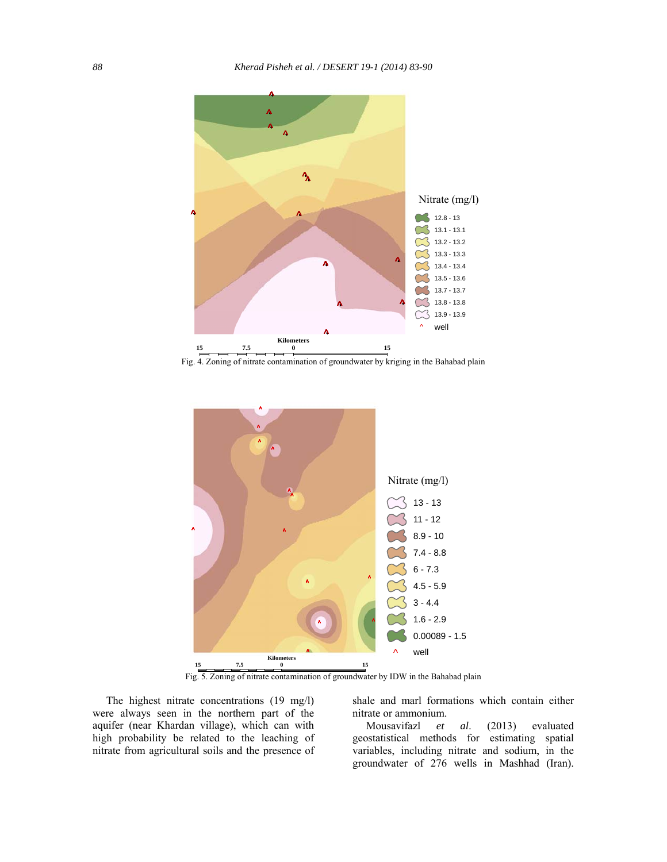

Fig. 4. Zoning of nitrate contamination of groundwater by kriging in the Bahabad plain



Fig. 5. Zoning of nitrate contamination of groundwater by IDW in the Bahabad plain

 The highest nitrate concentrations (19 mg/l) were always seen in the northern part of the aquifer (near Khardan village), which can with high probability be related to the leaching of nitrate from agricultural soils and the presence of shale and marl formations which contain either nitrate or ammonium.

 Mousavifazl *et al*. (2013) evaluated geostatistical methods for estimating spatial variables, including nitrate and sodium, in the groundwater of 276 wells in Mashhad (Iran).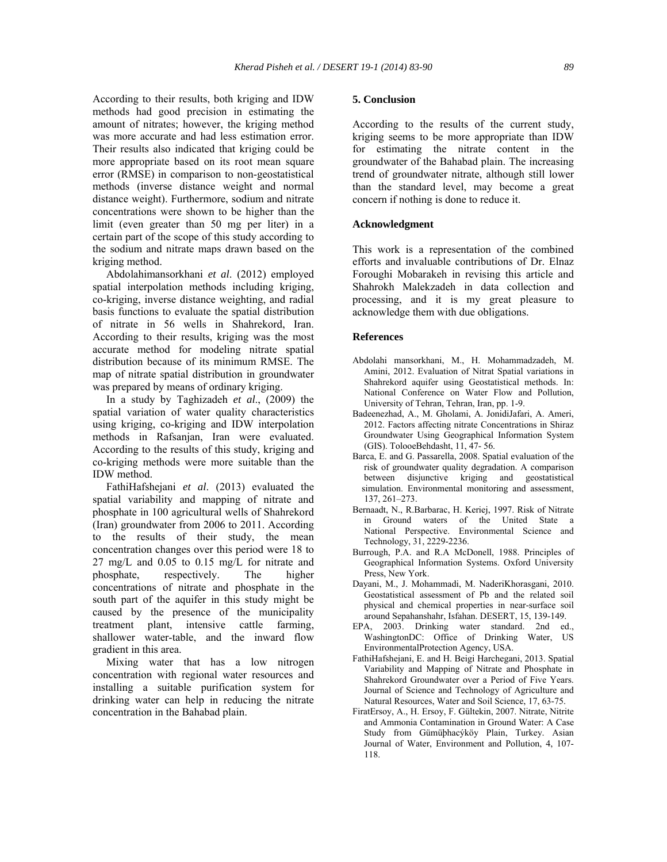According to their results, both kriging and IDW methods had good precision in estimating the amount of nitrates; however, the kriging method was more accurate and had less estimation error. Their results also indicated that kriging could be more appropriate based on its root mean square error (RMSE) in comparison to non-geostatistical methods (inverse distance weight and normal distance weight). Furthermore, sodium and nitrate concentrations were shown to be higher than the limit (even greater than 50 mg per liter) in a certain part of the scope of this study according to the sodium and nitrate maps drawn based on the kriging method.

 Abdolahimansorkhani *et al*. (2012) employed spatial interpolation methods including kriging, co-kriging, inverse distance weighting, and radial basis functions to evaluate the spatial distribution of nitrate in 56 wells in Shahrekord, Iran. According to their results, kriging was the most accurate method for modeling nitrate spatial distribution because of its minimum RMSE. The map of nitrate spatial distribution in groundwater was prepared by means of ordinary kriging.

 In a study by Taghizadeh *et al*., (2009) the spatial variation of water quality characteristics using kriging, co-kriging and IDW interpolation methods in Rafsanjan, Iran were evaluated. According to the results of this study, kriging and co-kriging methods were more suitable than the IDW method.

 FathiHafshejani *et al*. (2013) evaluated the spatial variability and mapping of nitrate and phosphate in 100 agricultural wells of Shahrekord (Iran) groundwater from 2006 to 2011. According to the results of their study, the mean concentration changes over this period were 18 to 27 mg/L and 0.05 to 0.15 mg/L for nitrate and phosphate, respectively. The higher concentrations of nitrate and phosphate in the south part of the aquifer in this study might be caused by the presence of the municipality treatment plant, intensive cattle farming, shallower water-table, and the inward flow gradient in this area.

 Mixing water that has a low nitrogen concentration with regional water resources and installing a suitable purification system for drinking water can help in reducing the nitrate concentration in the Bahabad plain.

#### **5. Conclusion**

According to the results of the current study, kriging seems to be more appropriate than IDW for estimating the nitrate content in the groundwater of the Bahabad plain. The increasing trend of groundwater nitrate, although still lower than the standard level, may become a great concern if nothing is done to reduce it.

## **Acknowledgment**

This work is a representation of the combined efforts and invaluable contributions of Dr. Elnaz Foroughi Mobarakeh in revising this article and Shahrokh Malekzadeh in data collection and processing, and it is my great pleasure to acknowledge them with due obligations.

#### **References**

- Abdolahi mansorkhani, M., H. Mohammadzadeh, M. Amini, 2012. Evaluation of Nitrat Spatial variations in Shahrekord aquifer using Geostatistical methods. In: National Conference on Water Flow and Pollution, University of Tehran, Tehran, Iran, pp. 1-9.
- Badeenezhad, A., M. Gholami, A. JonidiJafari, A. Ameri, 2012. Factors affecting nitrate Concentrations in Shiraz Groundwater Using Geographical Information System (GIS). TolooeBehdasht, 11, 47- 56.
- Barca, E. and G. Passarella, 2008. Spatial evaluation of the risk of groundwater quality degradation. A comparison between disjunctive kriging and geostatistical simulation. Environmental monitoring and assessment, 137, 261–273.
- Bernaadt, N., R.Barbarac, H. Keriej, 1997. Risk of Nitrate in Ground waters of the United State a National Perspective. Environmental Science and Technology, 31, 2229-2236.
- Burrough, P.A. and R.A McDonell, 1988. Principles of Geographical Information Systems. Oxford University Press, New York.
- Dayani, M., J. Mohammadi, M. NaderiKhorasgani, 2010. Geostatistical assessment of Pb and the related soil physical and chemical properties in near-surface soil around Sepahanshahr, Isfahan. DESERT, 15, 139-149.
- EPA, 2003. Drinking water standard. 2nd ed., WashingtonDC: Office of Drinking Water, US EnvironmentalProtection Agency, USA.
- FathiHafshejani, E. and H. Beigi Harchegani, 2013. Spatial Variability and Mapping of Nitrate and Phosphate in Shahrekord Groundwater over a Period of Five Years. Journal of Science and Technology of Agriculture and Natural Resources, Water and Soil Science, 17, 63-75.
- FiratErsoy, A., H. Ersoy, F. Gültekin, 2007. Nitrate, Nitrite and Ammonia Contamination in Ground Water: A Case Study from Gümüþhacýköy Plain, Turkey. Asian Journal of Water, Environment and Pollution, 4, 107- 118.